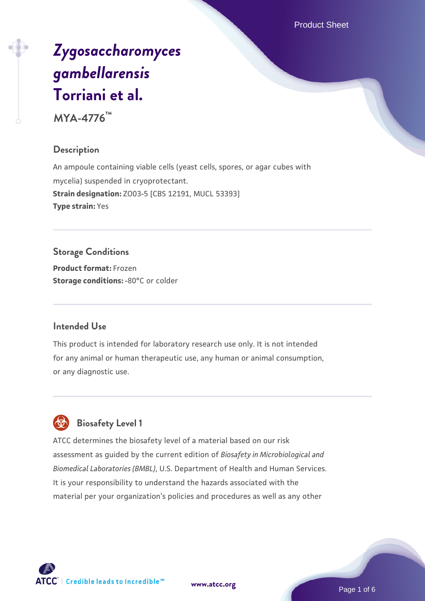Product Sheet

# *[Zygosaccharomyces](https://www.atcc.org/products/mya-4776) [gambellarensis](https://www.atcc.org/products/mya-4776)* **[Torriani et al.](https://www.atcc.org/products/mya-4776)**

**MYA-4776™**

# **Description**

An ampoule containing viable cells (yeast cells, spores, or agar cubes with mycelia) suspended in cryoprotectant. **Strain designation:** ZO03-5 [CBS 12191, MUCL 53393] **Type strain:** Yes

# **Storage Conditions**

**Product format:** Frozen **Storage conditions: -80°C or colder** 

# **Intended Use**

This product is intended for laboratory research use only. It is not intended for any animal or human therapeutic use, any human or animal consumption, or any diagnostic use.



# **Biosafety Level 1**

ATCC determines the biosafety level of a material based on our risk assessment as guided by the current edition of *Biosafety in Microbiological and Biomedical Laboratories (BMBL)*, U.S. Department of Health and Human Services. It is your responsibility to understand the hazards associated with the material per your organization's policies and procedures as well as any other

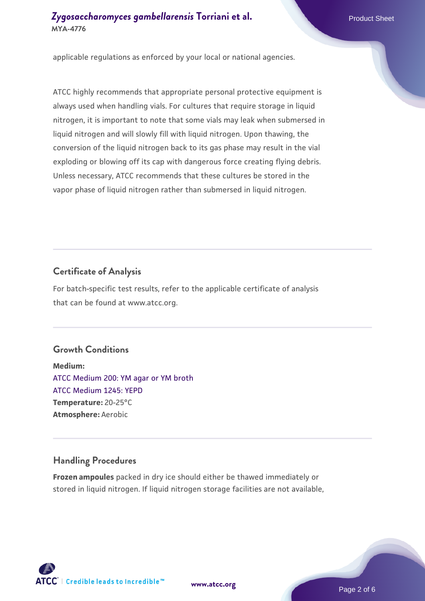applicable regulations as enforced by your local or national agencies.

ATCC highly recommends that appropriate personal protective equipment is always used when handling vials. For cultures that require storage in liquid nitrogen, it is important to note that some vials may leak when submersed in liquid nitrogen and will slowly fill with liquid nitrogen. Upon thawing, the conversion of the liquid nitrogen back to its gas phase may result in the vial exploding or blowing off its cap with dangerous force creating flying debris. Unless necessary, ATCC recommends that these cultures be stored in the vapor phase of liquid nitrogen rather than submersed in liquid nitrogen.

#### **Certificate of Analysis**

For batch-specific test results, refer to the applicable certificate of analysis that can be found at www.atcc.org.

#### **Growth Conditions**

**Medium:**  [ATCC Medium 200: YM agar or YM broth](https://www.atcc.org/-/media/product-assets/documents/microbial-media-formulations/2/0/0/atcc-medium-200.pdf?rev=ac40fd74dc13433a809367b0b9da30fc) [ATCC Medium 1245: YEPD](https://www.atcc.org/-/media/product-assets/documents/microbial-media-formulations/1/2/4/5/atcc-medium-1245.pdf?rev=705ca55d1b6f490a808a965d5c072196) **Temperature:** 20-25°C **Atmosphere:** Aerobic

#### **Handling Procedures**

**Frozen ampoules** packed in dry ice should either be thawed immediately or stored in liquid nitrogen. If liquid nitrogen storage facilities are not available,

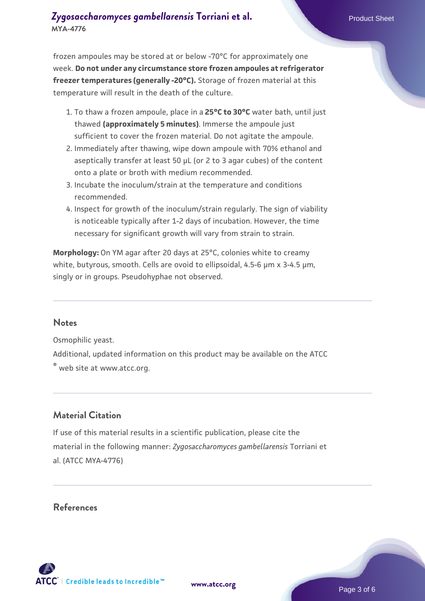frozen ampoules may be stored at or below -70°C for approximately one week. **Do not under any circumstance store frozen ampoules at refrigerator freezer temperatures (generally -20°C).** Storage of frozen material at this temperature will result in the death of the culture.

- 1. To thaw a frozen ampoule, place in a **25°C to 30°C** water bath, until just thawed **(approximately 5 minutes)**. Immerse the ampoule just sufficient to cover the frozen material. Do not agitate the ampoule.
- 2. Immediately after thawing, wipe down ampoule with 70% ethanol and aseptically transfer at least 50 µL (or 2 to 3 agar cubes) of the content onto a plate or broth with medium recommended.
- 3. Incubate the inoculum/strain at the temperature and conditions recommended.
- 4. Inspect for growth of the inoculum/strain regularly. The sign of viability is noticeable typically after 1-2 days of incubation. However, the time necessary for significant growth will vary from strain to strain.

**Morphology:** On YM agar after 20 days at 25°C, colonies white to creamy white, butyrous, smooth. Cells are ovoid to ellipsoidal, 4.5-6  $\mu$ m x 3-4.5  $\mu$ m, singly or in groups. Pseudohyphae not observed.

#### **Notes**

Osmophilic yeast.

Additional, updated information on this product may be available on the ATCC ® web site at www.atcc.org.

# **Material Citation**

If use of this material results in a scientific publication, please cite the material in the following manner: *Zygosaccharomyces gambellarensis* Torriani et al. (ATCC MYA-4776)

#### **References**

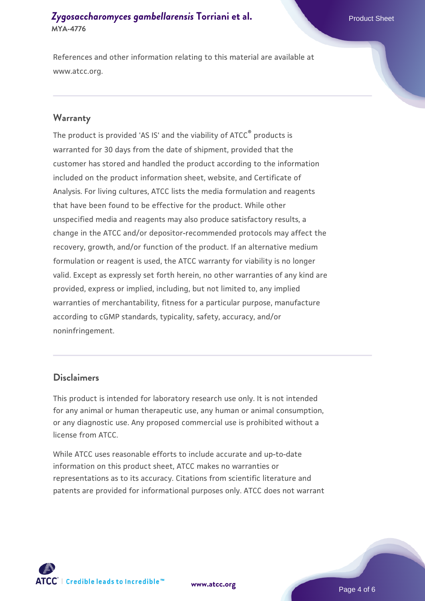References and other information relating to this material are available at www.atcc.org.

#### **Warranty**

The product is provided 'AS IS' and the viability of ATCC® products is warranted for 30 days from the date of shipment, provided that the customer has stored and handled the product according to the information included on the product information sheet, website, and Certificate of Analysis. For living cultures, ATCC lists the media formulation and reagents that have been found to be effective for the product. While other unspecified media and reagents may also produce satisfactory results, a change in the ATCC and/or depositor-recommended protocols may affect the recovery, growth, and/or function of the product. If an alternative medium formulation or reagent is used, the ATCC warranty for viability is no longer valid. Except as expressly set forth herein, no other warranties of any kind are provided, express or implied, including, but not limited to, any implied warranties of merchantability, fitness for a particular purpose, manufacture according to cGMP standards, typicality, safety, accuracy, and/or noninfringement.

#### **Disclaimers**

This product is intended for laboratory research use only. It is not intended for any animal or human therapeutic use, any human or animal consumption, or any diagnostic use. Any proposed commercial use is prohibited without a license from ATCC.

While ATCC uses reasonable efforts to include accurate and up-to-date information on this product sheet, ATCC makes no warranties or representations as to its accuracy. Citations from scientific literature and patents are provided for informational purposes only. ATCC does not warrant



**[www.atcc.org](http://www.atcc.org)**

Page 4 of 6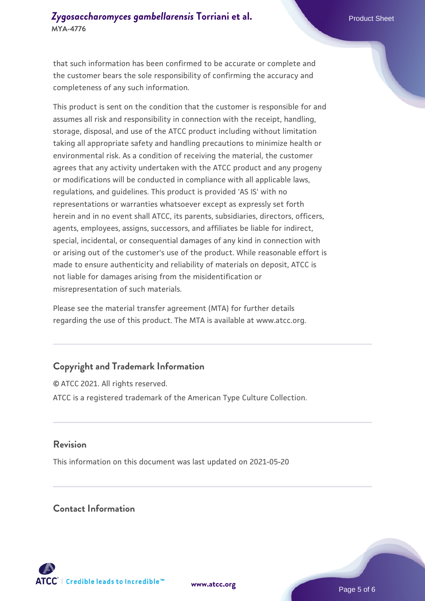that such information has been confirmed to be accurate or complete and the customer bears the sole responsibility of confirming the accuracy and completeness of any such information.

This product is sent on the condition that the customer is responsible for and assumes all risk and responsibility in connection with the receipt, handling, storage, disposal, and use of the ATCC product including without limitation taking all appropriate safety and handling precautions to minimize health or environmental risk. As a condition of receiving the material, the customer agrees that any activity undertaken with the ATCC product and any progeny or modifications will be conducted in compliance with all applicable laws, regulations, and guidelines. This product is provided 'AS IS' with no representations or warranties whatsoever except as expressly set forth herein and in no event shall ATCC, its parents, subsidiaries, directors, officers, agents, employees, assigns, successors, and affiliates be liable for indirect, special, incidental, or consequential damages of any kind in connection with or arising out of the customer's use of the product. While reasonable effort is made to ensure authenticity and reliability of materials on deposit, ATCC is not liable for damages arising from the misidentification or misrepresentation of such materials.

Please see the material transfer agreement (MTA) for further details regarding the use of this product. The MTA is available at www.atcc.org.

# **Copyright and Trademark Information**

© ATCC 2021. All rights reserved. ATCC is a registered trademark of the American Type Culture Collection.

#### **Revision**

This information on this document was last updated on 2021-05-20

#### **Contact Information**



**[www.atcc.org](http://www.atcc.org)**

Page 5 of 6